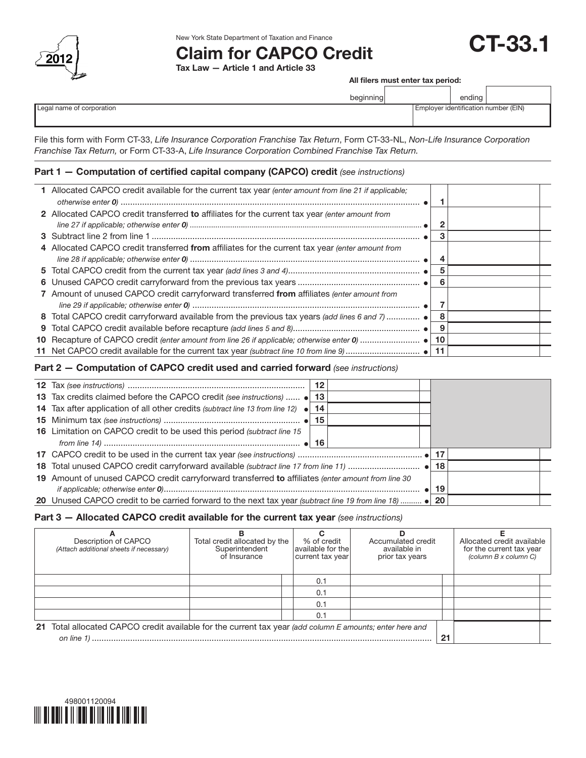

New York State Department of Taxation and Finance

# Claim for CAPCO Credit

Tax Law — Article 1 and Article 33

All filers must enter tax period:

CT-33.1

|                           | beginning |                                      | ending |  |
|---------------------------|-----------|--------------------------------------|--------|--|
| Legal name of corporation |           | Employer identification number (EIN) |        |  |

File this form with Form CT-33, *Life Insurance Corporation Franchise Tax Return*, Form CT-33-NL, *Non-Life Insurance Corporation Franchise Tax Return,* or Form CT-33-A, *Life Insurance Corporation Combined Franchise Tax Return.*

# Part 1 — Computation of certified capital company (CAPCO) credit *(see instructions)*

| 1 Allocated CAPCO credit available for the current tax year (enter amount from line 21 if applicable; |                                                                                                                                                                                                                                                                                                   |                                                                                             |  |
|-------------------------------------------------------------------------------------------------------|---------------------------------------------------------------------------------------------------------------------------------------------------------------------------------------------------------------------------------------------------------------------------------------------------|---------------------------------------------------------------------------------------------|--|
|                                                                                                       |                                                                                                                                                                                                                                                                                                   |                                                                                             |  |
|                                                                                                       |                                                                                                                                                                                                                                                                                                   |                                                                                             |  |
|                                                                                                       |                                                                                                                                                                                                                                                                                                   |                                                                                             |  |
|                                                                                                       |                                                                                                                                                                                                                                                                                                   |                                                                                             |  |
|                                                                                                       | з                                                                                                                                                                                                                                                                                                 |                                                                                             |  |
|                                                                                                       |                                                                                                                                                                                                                                                                                                   |                                                                                             |  |
|                                                                                                       |                                                                                                                                                                                                                                                                                                   |                                                                                             |  |
|                                                                                                       | 5                                                                                                                                                                                                                                                                                                 |                                                                                             |  |
|                                                                                                       | 6                                                                                                                                                                                                                                                                                                 |                                                                                             |  |
|                                                                                                       |                                                                                                                                                                                                                                                                                                   |                                                                                             |  |
|                                                                                                       |                                                                                                                                                                                                                                                                                                   |                                                                                             |  |
|                                                                                                       | -8                                                                                                                                                                                                                                                                                                |                                                                                             |  |
|                                                                                                       | -9                                                                                                                                                                                                                                                                                                |                                                                                             |  |
|                                                                                                       |                                                                                                                                                                                                                                                                                                   |                                                                                             |  |
|                                                                                                       |                                                                                                                                                                                                                                                                                                   |                                                                                             |  |
|                                                                                                       | 2 Allocated CAPCO credit transferred to affiliates for the current tax year (enter amount from<br>4 Allocated CAPCO credit transferred from affiliates for the current tax year (enter amount from<br>7 Amount of unused CAPCO credit carryforward transferred from affiliates (enter amount from | 8 Total CAPCO credit carryforward available from the previous tax years (add lines 6 and 7) |  |

# Part 2 — Computation of CAPCO credit used and carried forward *(see instructions)*

|                                                                                                         | 12 |  |     |  |
|---------------------------------------------------------------------------------------------------------|----|--|-----|--|
| 13 Tax credits claimed before the CAPCO credit (see instructions)  .                                    | 13 |  |     |  |
| <b>14</b> Tax after application of all other credits (subtract line 13 from line 12) $\bullet$          | 14 |  |     |  |
|                                                                                                         | 15 |  |     |  |
| 16 Limitation on CAPCO credit to be used this period (subtract line 15)                                 |    |  |     |  |
|                                                                                                         |    |  |     |  |
|                                                                                                         |    |  | 17  |  |
|                                                                                                         |    |  |     |  |
| 19 Amount of unused CAPCO credit carryforward transferred to affiliates (enter amount from line 30      |    |  |     |  |
|                                                                                                         |    |  | -19 |  |
| 20 Unused CAPCO credit to be carried forward to the next tax year (subtract line 19 from line 18)  • 20 |    |  |     |  |

## Part 3 — Allocated CAPCO credit available for the current tax year *(see instructions)*

| Description of CAPCO<br>(Attach additional sheets if necessary)                                                              | Total credit allocated by the<br>Superintendent<br>of Insurance | % of credit<br>available for thel<br>current tax year | Accumulated credit<br>available in<br>prior tax years |  | Allocated credit available<br>for the current tax year<br>(column B x column C) |  |
|------------------------------------------------------------------------------------------------------------------------------|-----------------------------------------------------------------|-------------------------------------------------------|-------------------------------------------------------|--|---------------------------------------------------------------------------------|--|
|                                                                                                                              |                                                                 | 0.1                                                   |                                                       |  |                                                                                 |  |
|                                                                                                                              |                                                                 | 0.1                                                   |                                                       |  |                                                                                 |  |
|                                                                                                                              |                                                                 | 0.1                                                   |                                                       |  |                                                                                 |  |
|                                                                                                                              |                                                                 | 0.1                                                   |                                                       |  |                                                                                 |  |
| 21 Total allocated CAPCO credit available for the current tax year (add column E amounts; enter here and<br>21<br>on line 1) |                                                                 |                                                       |                                                       |  |                                                                                 |  |